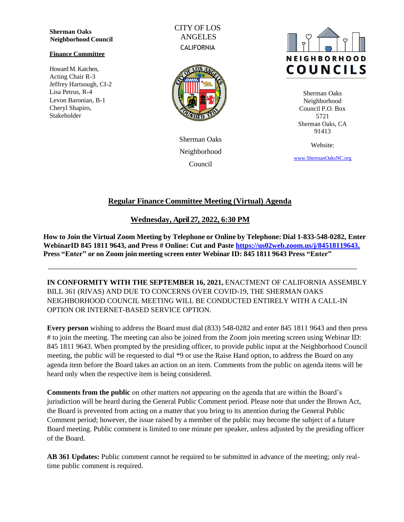**Sherman Oaks Neighborhood Council**

#### **Finance Committee**

Howard M. Katchen, Acting Chair R-3 Jeffrey Hartsough, CI-2 Lisa Petrus, R-4 Levon Baronian, B-1 Cheryl Shapiro, Stakeholder

CITY OF LOS ANGELES **CALIFORNIA** 



Sherman Oaks Neighborhood Council



Sherman Oaks Neighborhood Council P.O. Box 5721 Sherman Oaks, CA 91413

Website:

[www.ShermanOaksNC.](http://www.shermanoaksnc./)[org](http://www.shermanoaksnc.org/)

# **Regular Finance Committee Meeting (Virtual) Agenda**

# **Wednesday, April 27, 2022, 6:30 PM**

**How to Join the Virtual Zoom Meeting by Telephone or Online by Telephone: Dial 1-833-548-0282, Enter WebinarID 845 1811 9643, and Press # Online: Cut and Paste [https://us02web.zoom.us/j/84518119643,](https://us02web.zoom.us/j/84518119643) Press "Enter" or on Zoom join meeting screen enter Webinar ID: 845 1811 9643 Press "Enter"**

**IN CONFORMITY WITH THE SEPTEMBER 16, 2021,** ENACTMENT OF CALIFORNIA ASSEMBLY BILL 361 (RIVAS) AND DUE TO CONCERNS OVER COVID-19, THE SHERMAN OAKS NEIGHBORHOOD COUNCIL MEETING WILL BE CONDUCTED ENTIRELY WITH A CALL-IN OPTION OR INTERNET-BASED SERVICE OPTION.

**Every person** wishing to address the Board must dial (833) 548-0282 and enter 845 1811 9643 and then press # to join the meeting. The meeting can also be joined from the Zoom join meeting screen using Webinar ID: 845 1811 9643. When prompted by the presiding officer, to provide public input at the Neighborhood Council meeting, the public will be requested to dial \*9 or use the Raise Hand option, to address the Board on any agenda item before the Board takes an action on an item. Comments from the public on agenda items will be heard only when the respective item is being considered.

**Comments from the public** on other matters not appearing on the agenda that are within the Board's jurisdiction will be heard during the General Public Comment period. Please note that under the Brown Act, the Board is prevented from acting on a matter that you bring to its attention during the General Public Comment period; however, the issue raised by a member of the public may become the subject of a future Board meeting. Public comment is limited to one minute per speaker, unless adjusted by the presiding officer of the Board.

**AB 361 Updates:** Public comment cannot be required to be submitted in advance of the meeting; only realtime public comment is required.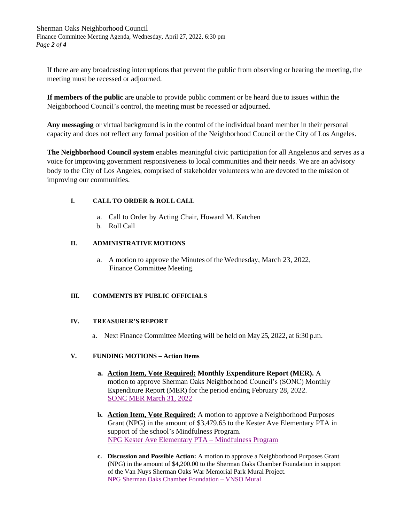Sherman Oaks Neighborhood Council Finance Committee Meeting Agenda, Wednesday, April 27, 2022, 6:30 pm *Page 2 of 4*

If there are any broadcasting interruptions that prevent the public from observing or hearing the meeting, the meeting must be recessed or adjourned.

**If members of the public** are unable to provide public comment or be heard due to issues within the Neighborhood Council's control, the meeting must be recessed or adjourned.

**Any messaging** or virtual background is in the control of the individual board member in their personal capacity and does not reflect any formal position of the Neighborhood Council or the City of Los Angeles.

**The Neighborhood Council system** enables meaningful civic participation for all Angelenos and serves as a voice for improving government responsiveness to local communities and their needs. We are an advisory body to the City of Los Angeles, comprised of stakeholder volunteers who are devoted to the mission of improving our communities.

### **I. CALL TO ORDER & ROLL CALL**

- a. Call to Order by Acting Chair, Howard M. Katchen
- b. Roll Call

### **II. ADMINISTRATIVE MOTIONS**

a. A motion to approve the Minutes of the Wednesday, March 23, 2022, Finance Committee Meeting.

### **III. COMMENTS BY PUBLIC OFFICIALS**

### **IV. TREASURER'S REPORT**

a. Next Finance Committee Meeting will be held on May 25, 2022, at 6:30 p.m.

### **V. FUNDING MOTIONS – Action Items**

- **a. Action Item, Vote Required: Monthly Expenditure Report (MER).** A motion to approve Sherman Oaks Neighborhood Council's (SONC) Monthly Expenditure Report (MER) for the period ending February 28, 2022. SONC MER [March 31,](https://www.shermanoaksnc.org/assets/documents/7/meeting6265d3f57f037.pdf) 2022
- **b. Action Item, Vote Required:** A motion to approve a Neighborhood Purposes Grant (NPG) in the amount of \$3,479.65 to the Kester Ave Elementary PTA in support of the school's Mindfulness Program. [NPG Kester Ave Elementary PTA](https://www.shermanoaksnc.org/assets/documents/7/meeting6265d714f26c0.pdf) – Mindfulness Program
- **c. Discussion and Possible Action:** A motion to approve a Neighborhood Purposes Grant (NPG) in the amount of \$4,200.00 to the Sherman Oaks Chamber Foundation in support of the Van Nuys Sherman Oaks War Memorial Park Mural Project. [NPG Sherman Oaks Chamber](https://www.shermanoaksnc.org/assets/documents/7/meeting6265da87e115b.pdf) Foundation – VNSO Mural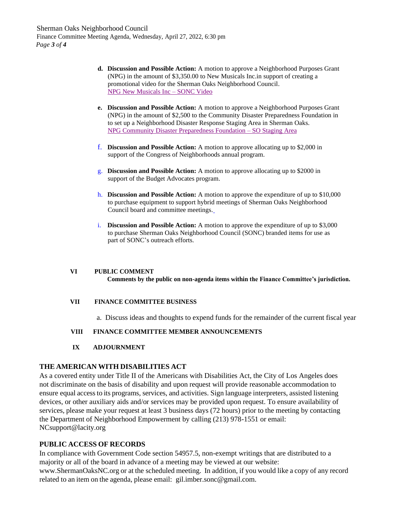- **d. Discussion and Possible Action:** A motion to approve a Neighborhood Purposes Grant (NPG) in the amount of \$3,350.00 to New Musicals Inc.in support of creating a promotional video for the Sherman Oaks Neighborhood Council. [NPG New Musicals Inc](https://www.shermanoaksnc.org/assets/documents/7/meeting6265dfb9b26dc.pdf) – SONC Video
- **e. Discussion and Possible Action:** A motion to approve a Neighborhood Purposes Grant (NPG) in the amount of \$2,500 to the Community Disaster Preparedness Foundation in to set up a Neighborhood Disaster Response Staging Area in Sherman Oaks. [NPG Community Disaster Preparedness Foundation](https://www.shermanoaksnc.org/assets/documents/7/meeting6265e46542170.pdf) – SO Staging Area
- f. **Discussion and Possible Action:** A motion to approve allocating up to \$2,000 in support of the Congress of Neighborhoods annual program.
- g. **Discussion and Possible Action:** A motion to approve allocating up to \$2000 in support of the Budget Advocates program.
- h. **Discussion and Possible Action:** A motion to approve the expenditure of up to \$10,000 to purchase equipment to support hybrid meetings of Sherman Oaks Neighborhood Council board and committee meetings.
- i. **Discussion and Possible Action:** A motion to approve the expenditure of up to \$3,000 to purchase Sherman Oaks Neighborhood Council (SONC) branded items for use as part of SONC's outreach efforts.

#### **VI PUBLIC COMMENT Comments by the public on non-agenda items within the Finance Committee's jurisdiction.**

### **VII FINANCE COMMITTEE BUSINESS**

a. Discuss ideas and thoughts to expend funds for the remainder of the current fiscal year

### **VIII FINANCE COMMITTEE MEMBER ANNOUNCEMENTS**

**IX ADJOURNMENT**

### **THE AMERICAN WITH DISABILITIES ACT**

As a covered entity under Title II of the Americans with Disabilities Act, the City of Los Angeles does not discriminate on the basis of disability and upon request will provide reasonable accommodation to ensure equal accessto its programs, services, and activities. Sign language interpreters, assisted listening devices, or other auxiliary aids and/or services may be provided upon request. To ensure availability of services, please make your request at least 3 business days (72 hours) prior to the meeting by contacting the Department of Neighborhood Empowerment by calling (213) 978-1551 or email: [NCsu](mailto:NCsupport@lacity.org)[pport@lacity.org](mailto:ort@lacity.org)

### **PUBLIC ACCESS OF RECORDS**

In compliance with Government Code section 54957.5, non-exempt writings that are distributed to a majority or all of the board in advance of a meeting may be viewed at our website: [www.ShermanOaksNC.org](http://www.shermanoaksnc.org/) or at the scheduled meeting. In addition, if you would like a copy of any record related to an item on the agenda, please email: [gil.imber.sonc@gmail.com.](mailto:il.imber.sonc@gmail.com)